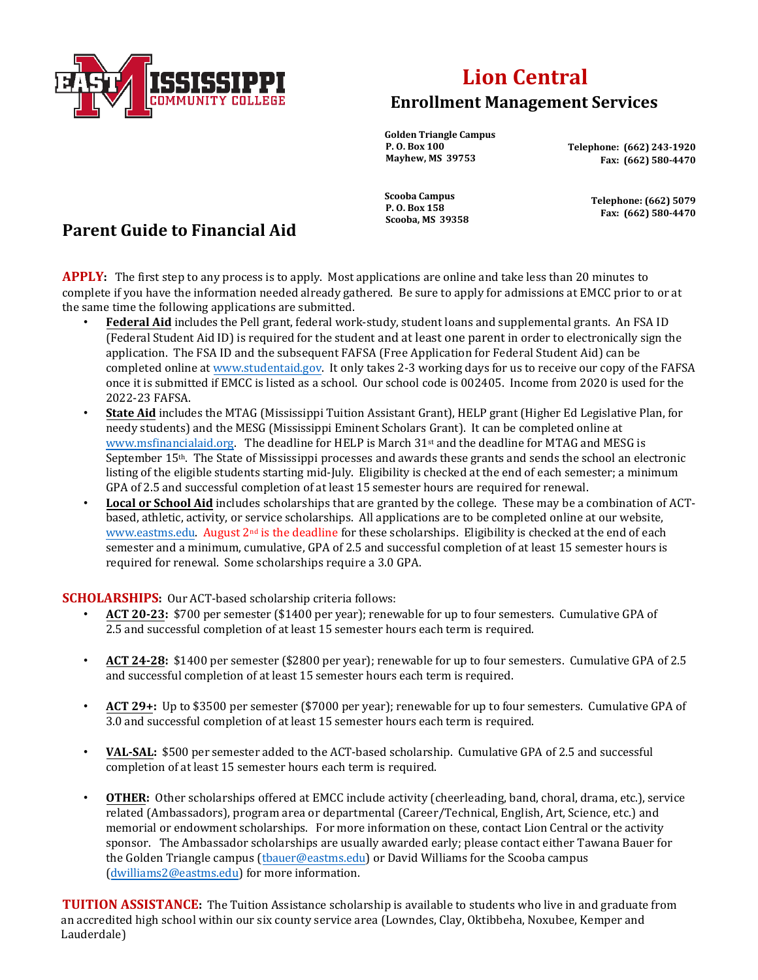

## **Lion Central Enrollment Management Services**

**Golden Triangle Campus P. O. Box 100 Mayhew, MS 39753** 

 **Telephone: (662) 243-1920 Fax: (662) 580-4470** 

**Scooba Campus P. O. Box 158 Scooba, MS 39358 Fax: (662) 580-4470**

 **Telephone: (662) 5079**

## **Parent Guide to Financial Aid**

**APPLY:** The first step to any process is to apply. Most applications are online and take less than 20 minutes to complete if you have the information needed already gathered. Be sure to apply for admissions at EMCC prior to or at the same time the following applications are submitted.

- **Federal Aid** includes the Pell grant, federal work-study, student loans and supplemental grants. An FSA ID (Federal Student Aid ID) is required for the student and at least one parent in order to electronically sign the application. The FSA ID and the subsequent FAFSA (Free Application for Federal Student Aid) can be completed online a[t www.studentaid.gov.](http://www.studentaid.gov/) It only takes 2-3 working days for us to receive our copy of the FAFSA once it is submitted if EMCC is listed as a school. Our school code is 002405. Income from 2020 is used for the 2022-23 FAFSA.
- **State Aid** includes the MTAG (Mississippi Tuition Assistant Grant), HELP grant (Higher Ed Legislative Plan, for needy students) and the MESG (Mississippi Eminent Scholars Grant). It can be completed online at [www.msfinancialaid.org.](http://www.msfinancialaid.org/) The deadline for HELP is March 31st and the deadline for MTAG and MESG is September 15<sup>th</sup>. The State of Mississippi processes and awards these grants and sends the school an electronic listing of the eligible students starting mid-July. Eligibility is checked at the end of each semester; a minimum GPA of 2.5 and successful completion of at least 15 semester hours are required for renewal.
- **Local or School Aid** includes scholarships that are granted by the college. These may be a combination [of A](http://www.eastms.edu/)CTbased, athletic, activity, or service scholarships. All applications are to be completed online at our website, [www.eastms.edu.](http://www.eastms.edu/) August 2nd is the deadline for these scholarships. Eligibility is checked at the end of each semester and a minimum, cumulative, GPA of 2.5 and successful completion of at least 15 semester hours is required for renewal. Some scholarships require a 3.0 GPA.

## **SCHOLARSHIPS:** Our ACT-based scholarship criteria follows:

- **ACT 20-23:** \$700 per semester (\$1400 per year); renewable for up to four semesters. Cumulative GPA of 2.5 and successful completion of at least 15 semester hours each term is required.
- **ACT 24-28:** \$1400 per semester (\$2800 per year); renewable for up to four semesters. Cumulative GPA of 2.5 and successful completion of at least 15 semester hours each term is required.
- **ACT 29+:** Up to \$3500 per semester (\$7000 per year); renewable for up to four semesters. Cumulative GPA of 3.0 and successful completion of at least 15 semester hours each term is required.
- **VAL-SAL:** \$500 per semester added to the ACT-based scholarship. Cumulative GPA of 2.5 and successful completion of at least 15 semester hours each term is required.
- **OTHER:** Other scholarships offered at EMCC include activity (cheerleading, band, choral, drama, etc.), service related (Ambassadors), program area or departmental (Career/Technical, English, Art, Science, etc.) and memorial or endowment scholarships. For more information on these, contact Lion Central or the activity sponsor. The Ambassador scholarships are usually awarded early; please contact either Tawana Bauer for the Golden Triangle campus (tbauer@eastms.edu) or David Williams for the Scooba campus (dwilliams2@eastms.edu) for more information.

**TUITION ASSISTANCE:** The Tuition Assistance scholarship is available to students who live in and graduate from an accredited high school within our six county service area (Lowndes, Clay, Oktibbeha, Noxubee, Kemper and Lauderdale)